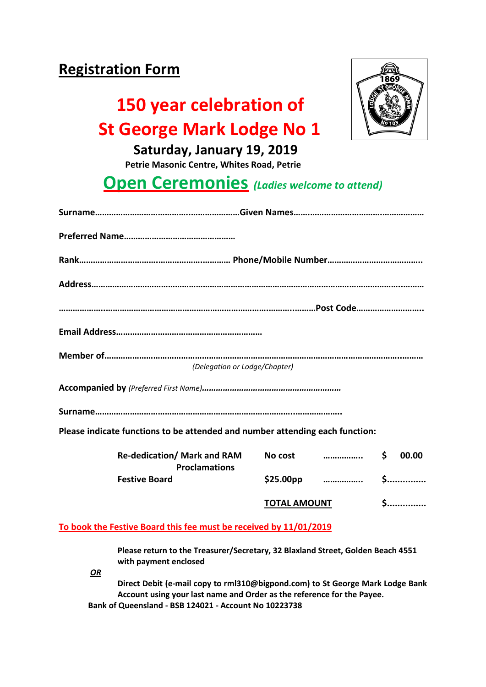### **Registration Form**

### **150 year celebration of St George Mark Lodge No 1**



 **Saturday, January 19, 2019**

 **Petrie Masonic Centre, Whites Road, Petrie**

### **Open Ceremonies** *(Ladies welcome to attend)*

| (Delegation or Lodge/Chapter)                                                |
|------------------------------------------------------------------------------|
|                                                                              |
|                                                                              |
| Please indicate functions to be attended and number attending each function: |

| <b>Re-dedication/ Mark and RAM</b><br><b>Proclamations</b><br><b>Festive Board</b> | No cost               |   | 00.00 |
|------------------------------------------------------------------------------------|-----------------------|---|-------|
|                                                                                    | \$25.00 <sub>pp</sub> | . |       |
|                                                                                    | <b>TOTAL AMOUNT</b>   |   |       |

#### **To book the Festive Board this fee must be received by 11/01/2019**

**Please return to the Treasurer/Secretary, 32 Blaxland Street, Golden Beach 4551 with payment enclosed**

*OR*

**Direct Debit (e-mail copy to rml310@bigpond.com) to St George Mark Lodge Bank Account using your last name and Order as the reference for the Payee. Bank of Queensland - BSB 124021 - Account No 10223738**